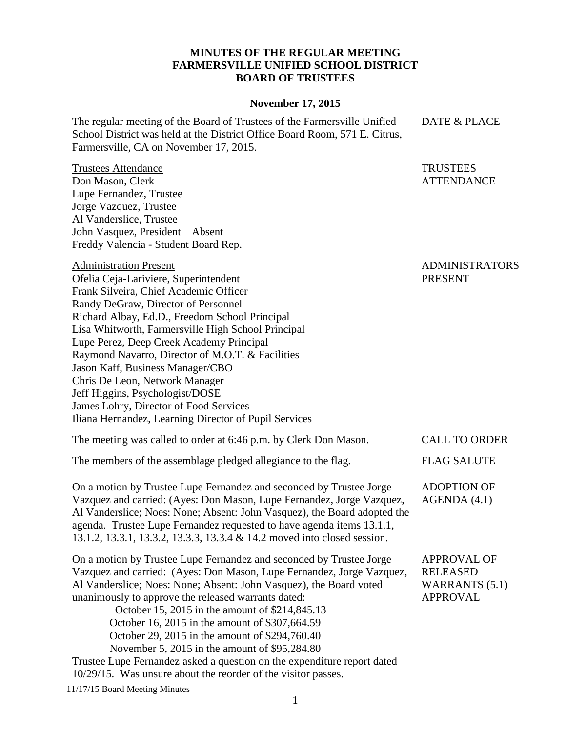## **MINUTES OF THE REGULAR MEETING FARMERSVILLE UNIFIED SCHOOL DISTRICT BOARD OF TRUSTEES**

## **November 17, 2015**

The regular meeting of the Board of Trustees of the Farmersville Unified School District was held at the District Office Board Room, 571 E. Citrus, Farmersville, CA on November 17, 2015.

Trustees Attendance Don Mason, Clerk Lupe Fernandez, Trustee Jorge Vazquez, Trustee Al Vanderslice, Trustee John Vasquez, President Absent Freddy Valencia - Student Board Rep.

Administration Present Ofelia Ceja-Lariviere, Superintendent Frank Silveira, Chief Academic Officer Randy DeGraw, Director of Personnel Richard Albay, Ed.D., Freedom School Principal Lisa Whitworth, Farmersville High School Principal Lupe Perez, Deep Creek Academy Principal Raymond Navarro, Director of M.O.T. & Facilities Jason Kaff, Business Manager/CBO Chris De Leon, Network Manager Jeff Higgins, Psychologist/DOSE James Lohry, Director of Food Services Iliana Hernandez, Learning Director of Pupil Services

The meeting was called to order at 6:46 p.m. by Clerk Don Mason. CALL TO ORDER The members of the assemblage pledged allegiance to the flag. FLAG SALUTE On a motion by Trustee Lupe Fernandez and seconded by Trustee Jorge Vazquez and carried: (Ayes: Don Mason, Lupe Fernandez, Jorge Vazquez, ADOPTION OF AGENDA (4.1)

Al Vanderslice; Noes: None; Absent: John Vasquez), the Board adopted the agenda. Trustee Lupe Fernandez requested to have agenda items 13.1.1, 13.1.2, 13.3.1, 13.3.2, 13.3.3, 13.3.4 & 14.2 moved into closed session.

On a motion by Trustee Lupe Fernandez and seconded by Trustee Jorge Vazquez and carried: (Ayes: Don Mason, Lupe Fernandez, Jorge Vazquez, Al Vanderslice; Noes: None; Absent: John Vasquez), the Board voted unanimously to approve the released warrants dated: October 15, 2015 in the amount of \$214,845.13 APPROVAL OF RELEASED WARRANTS (5.1) APPROVAL

October 16, 2015 in the amount of \$307,664.59 October 29, 2015 in the amount of \$294,760.40

November 5, 2015 in the amount of \$95,284.80

Trustee Lupe Fernandez asked a question on the expenditure report dated 10/29/15. Was unsure about the reorder of the visitor passes.

11/17/15 Board Meeting Minutes

## ADMINISTRATORS PRESENT

DATE & PLACE

**TRUSTEES** ATTENDANCE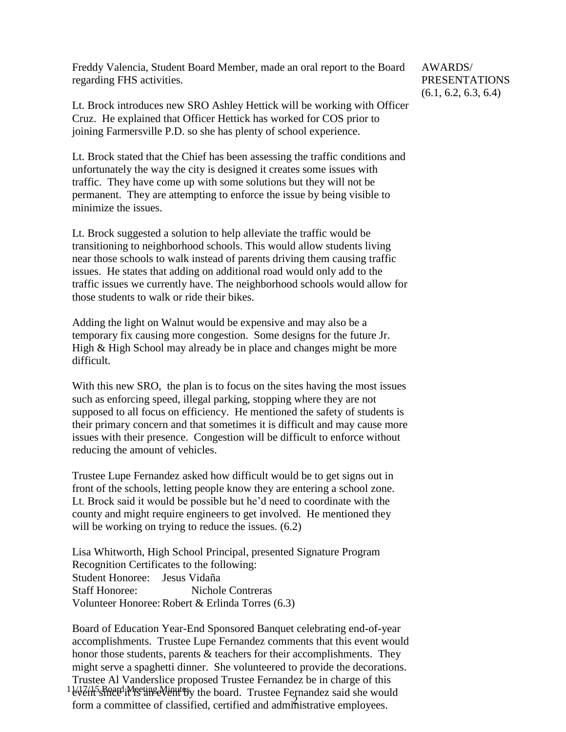Freddy Valencia, Student Board Member, made an oral report to the Board regarding FHS activities.

Lt. Brock introduces new SRO Ashley Hettick will be working with Officer Cruz. He explained that Officer Hettick has worked for COS prior to joining Farmersville P.D. so she has plenty of school experience.

Lt. Brock stated that the Chief has been assessing the traffic conditions and unfortunately the way the city is designed it creates some issues with traffic. They have come up with some solutions but they will not be permanent. They are attempting to enforce the issue by being visible to minimize the issues.

Lt. Brock suggested a solution to help alleviate the traffic would be transitioning to neighborhood schools. This would allow students living near those schools to walk instead of parents driving them causing traffic issues. He states that adding on additional road would only add to the traffic issues we currently have. The neighborhood schools would allow for those students to walk or ride their bikes.

Adding the light on Walnut would be expensive and may also be a temporary fix causing more congestion. Some designs for the future Jr. High & High School may already be in place and changes might be more difficult.

With this new SRO, the plan is to focus on the sites having the most issues such as enforcing speed, illegal parking, stopping where they are not supposed to all focus on efficiency. He mentioned the safety of students is their primary concern and that sometimes it is difficult and may cause more issues with their presence. Congestion will be difficult to enforce without reducing the amount of vehicles.

Trustee Lupe Fernandez asked how difficult would be to get signs out in front of the schools, letting people know they are entering a school zone. Lt. Brock said it would be possible but he'd need to coordinate with the county and might require engineers to get involved. He mentioned they will be working on trying to reduce the issues.  $(6.2)$ 

Lisa Whitworth, High School Principal, presented Signature Program Recognition Certificates to the following: Student Honoree: Jesus Vidaña Staff Honoree: Nichole Contreras Volunteer Honoree: Robert & Erlinda Torres (6.3)

1 VVI/15 Board Meeting Minutesy the board. Trustee Fernandez said she would From a committee of classified, certified and administrative employees. Board of Education Year-End Sponsored Banquet celebrating end-of-year accomplishments. Trustee Lupe Fernandez comments that this event would honor those students, parents & teachers for their accomplishments. They might serve a spaghetti dinner. She volunteered to provide the decorations. Trustee Al Vanderslice proposed Trustee Fernandez be in charge of this

AWARDS/ PRESENTATIONS (6.1, 6.2, 6.3, 6.4)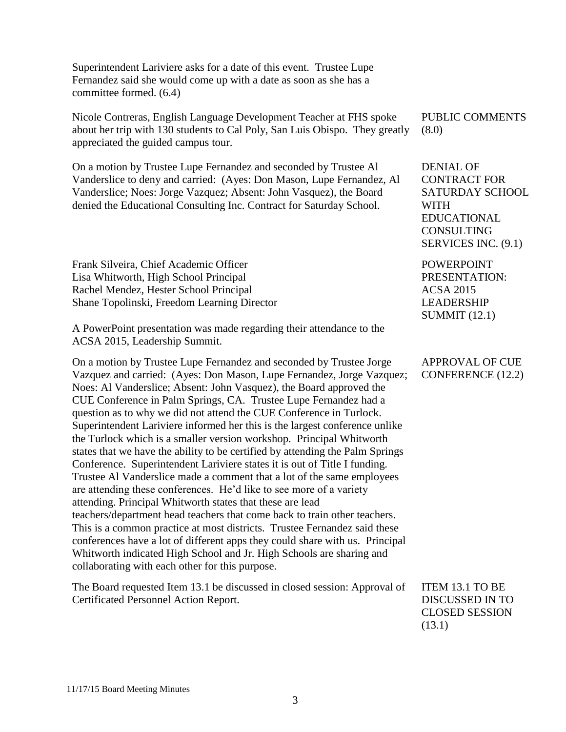Superintendent Lariviere asks for a date of this event. Trustee Lupe Fernandez said she would come up with a date as soon as she has a committee formed. (6.4)

Nicole Contreras, English Language Development Teacher at FHS spoke about her trip with 130 students to Cal Poly, San Luis Obispo. They greatly appreciated the guided campus tour.

On a motion by Trustee Lupe Fernandez and seconded by Trustee Al Vanderslice to deny and carried: (Ayes: Don Mason, Lupe Fernandez, Al Vanderslice; Noes: Jorge Vazquez; Absent: John Vasquez), the Board denied the Educational Consulting Inc. Contract for Saturday School.

Frank Silveira, Chief Academic Officer Lisa Whitworth, High School Principal Rachel Mendez, Hester School Principal Shane Topolinski, Freedom Learning Director

A PowerPoint presentation was made regarding their attendance to the ACSA 2015, Leadership Summit.

On a motion by Trustee Lupe Fernandez and seconded by Trustee Jorge Vazquez and carried: (Ayes: Don Mason, Lupe Fernandez, Jorge Vazquez; Noes: Al Vanderslice; Absent: John Vasquez), the Board approved the CUE Conference in Palm Springs, CA. Trustee Lupe Fernandez had a question as to why we did not attend the CUE Conference in Turlock. Superintendent Lariviere informed her this is the largest conference unlike the Turlock which is a smaller version workshop. Principal Whitworth states that we have the ability to be certified by attending the Palm Springs Conference. Superintendent Lariviere states it is out of Title I funding. Trustee Al Vanderslice made a comment that a lot of the same employees are attending these conferences. He'd like to see more of a variety attending. Principal Whitworth states that these are lead teachers/department head teachers that come back to train other teachers. This is a common practice at most districts. Trustee Fernandez said these conferences have a lot of different apps they could share with us. Principal Whitworth indicated High School and Jr. High Schools are sharing and collaborating with each other for this purpose.

The Board requested Item 13.1 be discussed in closed session: Approval of Certificated Personnel Action Report.

PUBLIC COMMENTS (8.0)

DENIAL OF CONTRACT FOR SATURDAY SCHOOL WITH EDUCATIONAL **CONSULTING** SERVICES INC. (9.1)

POWERPOINT PRESENTATION: ACSA 2015 LEADERSHIP SUMMIT (12.1)

APPROVAL OF CUE CONFERENCE (12.2)

ITEM 13.1 TO BE DISCUSSED IN TO CLOSED SESSION

(13.1)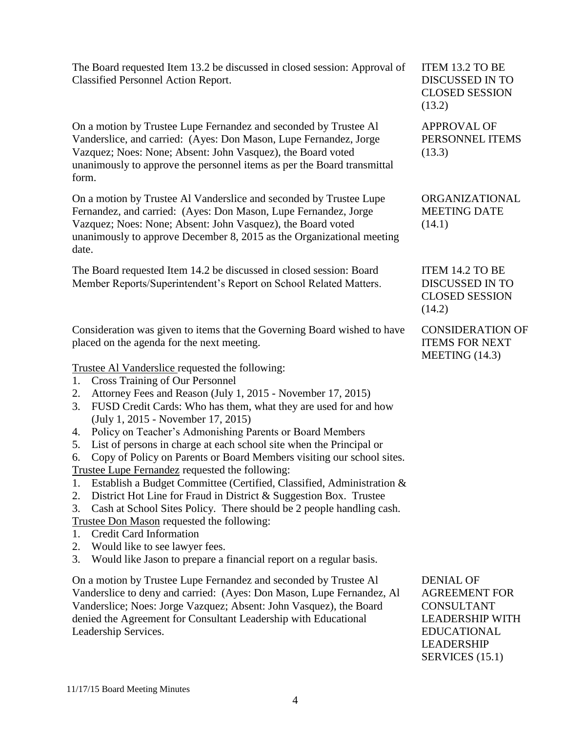The Board requested Item 13.2 be discussed in closed session: Approval of Classified Personnel Action Report.

On a motion by Trustee Lupe Fernandez and seconded by Trustee Al Vanderslice, and carried: (Ayes: Don Mason, Lupe Fernandez, Jorge Vazquez; Noes: None; Absent: John Vasquez), the Board voted unanimously to approve the personnel items as per the Board transmittal form.

On a motion by Trustee Al Vanderslice and seconded by Trustee Lupe Fernandez, and carried: (Ayes: Don Mason, Lupe Fernandez, Jorge Vazquez; Noes: None; Absent: John Vasquez), the Board voted unanimously to approve December 8, 2015 as the Organizational meeting date.

The Board requested Item 14.2 be discussed in closed session: Board Member Reports/Superintendent's Report on School Related Matters.

Consideration was given to items that the Governing Board wished to have placed on the agenda for the next meeting.

Trustee Al Vanderslice requested the following:

- 1. Cross Training of Our Personnel
- 2. Attorney Fees and Reason (July 1, 2015 November 17, 2015)
- 3. FUSD Credit Cards: Who has them, what they are used for and how (July 1, 2015 - November 17, 2015)
- 4. Policy on Teacher's Admonishing Parents or Board Members
- 5. List of persons in charge at each school site when the Principal or
- 6. Copy of Policy on Parents or Board Members visiting our school sites.

Trustee Lupe Fernandez requested the following:

- 1. Establish a Budget Committee (Certified, Classified, Administration  $\&$
- 2. District Hot Line for Fraud in District  $\&$  Suggestion Box. Trustee

3. Cash at School Sites Policy. There should be 2 people handling cash. Trustee Don Mason requested the following:

- 1. Credit Card Information
- 2. Would like to see lawyer fees.
- 3. Would like Jason to prepare a financial report on a regular basis.

On a motion by Trustee Lupe Fernandez and seconded by Trustee Al Vanderslice to deny and carried: (Ayes: Don Mason, Lupe Fernandez, Al Vanderslice; Noes: Jorge Vazquez; Absent: John Vasquez), the Board denied the Agreement for Consultant Leadership with Educational Leadership Services.

ITEM 13.2 TO BE DISCUSSED IN TO CLOSED SESSION (13.2)

APPROVAL OF PERSONNEL ITEMS (13.3)

ORGANIZATIONAL MEETING DATE (14.1)

ITEM 14.2 TO BE DISCUSSED IN TO CLOSED SESSION (14.2)

CONSIDERATION OF ITEMS FOR NEXT MEETING (14.3)

DENIAL OF AGREEMENT FOR CONSULTANT LEADERSHIP WITH EDUCATIONAL LEADERSHIP SERVICES (15.1)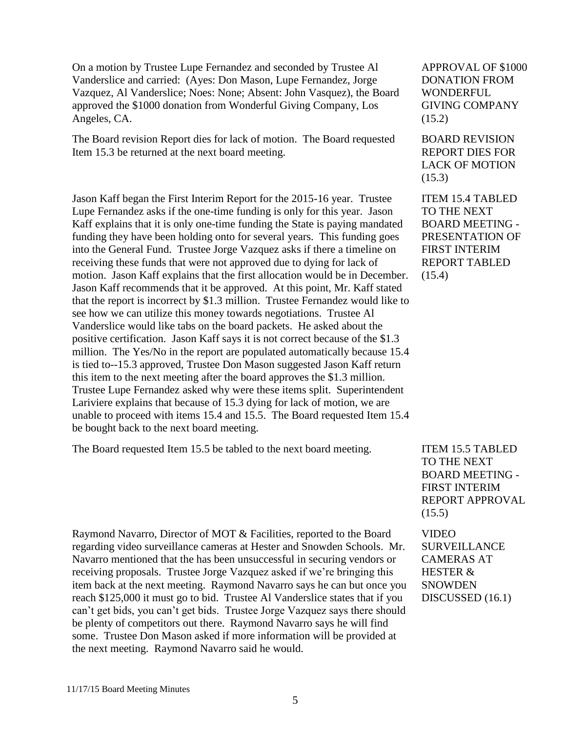On a motion by Trustee Lupe Fernandez and seconded by Trustee Al Vanderslice and carried: (Ayes: Don Mason, Lupe Fernandez, Jorge Vazquez, Al Vanderslice; Noes: None; Absent: John Vasquez), the Board approved the \$1000 donation from Wonderful Giving Company, Los Angeles, CA.

The Board revision Report dies for lack of motion. The Board requested Item 15.3 be returned at the next board meeting.

Jason Kaff began the First Interim Report for the 2015-16 year. Trustee Lupe Fernandez asks if the one-time funding is only for this year. Jason Kaff explains that it is only one-time funding the State is paying mandated funding they have been holding onto for several years. This funding goes into the General Fund. Trustee Jorge Vazquez asks if there a timeline on receiving these funds that were not approved due to dying for lack of motion. Jason Kaff explains that the first allocation would be in December. Jason Kaff recommends that it be approved. At this point, Mr. Kaff stated that the report is incorrect by \$1.3 million. Trustee Fernandez would like to see how we can utilize this money towards negotiations. Trustee Al Vanderslice would like tabs on the board packets. He asked about the positive certification. Jason Kaff says it is not correct because of the \$1.3 million. The Yes/No in the report are populated automatically because 15.4 is tied to--15.3 approved, Trustee Don Mason suggested Jason Kaff return this item to the next meeting after the board approves the \$1.3 million. Trustee Lupe Fernandez asked why were these items split. Superintendent Lariviere explains that because of 15.3 dying for lack of motion, we are unable to proceed with items 15.4 and 15.5. The Board requested Item 15.4 be bought back to the next board meeting.

The Board requested Item 15.5 be tabled to the next board meeting. ITEM 15.5 TABLED

Raymond Navarro, Director of MOT & Facilities, reported to the Board regarding video surveillance cameras at Hester and Snowden Schools. Mr. Navarro mentioned that the has been unsuccessful in securing vendors or receiving proposals. Trustee Jorge Vazquez asked if we're bringing this item back at the next meeting. Raymond Navarro says he can but once you reach \$125,000 it must go to bid. Trustee Al Vanderslice states that if you can't get bids, you can't get bids. Trustee Jorge Vazquez says there should be plenty of competitors out there. Raymond Navarro says he will find some. Trustee Don Mason asked if more information will be provided at the next meeting. Raymond Navarro said he would.

APPROVAL OF \$1000 DONATION FROM WONDERFUL GIVING COMPANY (15.2)

BOARD REVISION REPORT DIES FOR LACK OF MOTION (15.3)

ITEM 15.4 TABLED TO THE NEXT BOARD MEETING - PRESENTATION OF FIRST INTERIM REPORT TABLED (15.4)

TO THE NEXT BOARD MEETING - FIRST INTERIM REPORT APPROVAL  $(15.5)$ 

VIDEO SURVEILLANCE CAMERAS AT HESTER & SNOWDEN DISCUSSED (16.1)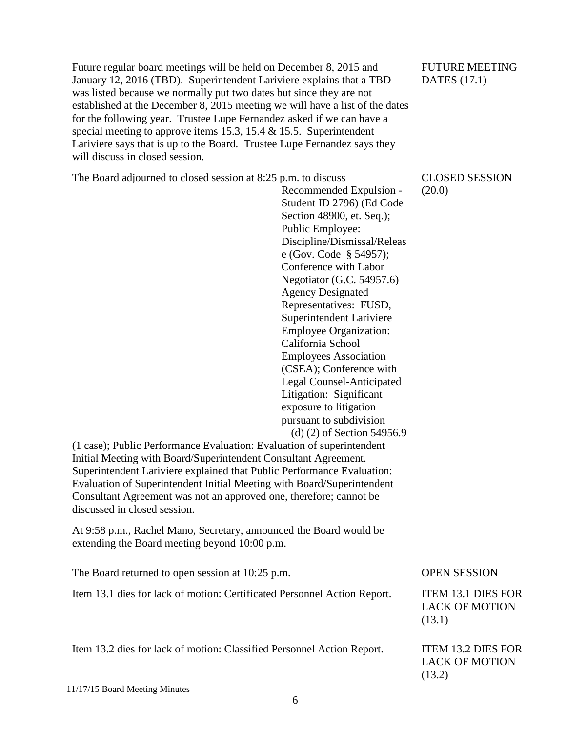Future regular board meetings will be held on December 8, 2015 and January 12, 2016 (TBD). Superintendent Lariviere explains that a TBD was listed because we normally put two dates but since they are not established at the December 8, 2015 meeting we will have a list of the dates for the following year. Trustee Lupe Fernandez asked if we can have a special meeting to approve items 15.3, 15.4 & 15.5. Superintendent Lariviere says that is up to the Board. Trustee Lupe Fernandez says they will discuss in closed session.

The Board adjourned to closed session at 8:25 p.m. to discuss

Recommended Expulsion - Student ID 2796) (Ed Code Section 48900, et. Seq.); Public Employee: Discipline/Dismissal/Releas e (Gov. Code § 54957); Conference with Labor Negotiator (G.C. 54957.6) Agency Designated Representatives: FUSD, Superintendent Lariviere Employee Organization: California School Employees Association (CSEA); Conference with Legal Counsel-Anticipated Litigation: Significant exposure to litigation pursuant to subdivision (d) (2) of Section 54956.9

(1 case); Public Performance Evaluation: Evaluation of superintendent Initial Meeting with Board/Superintendent Consultant Agreement. Superintendent Lariviere explained that Public Performance Evaluation: Evaluation of Superintendent Initial Meeting with Board/Superintendent Consultant Agreement was not an approved one, therefore; cannot be discussed in closed session.

At 9:58 p.m., Rachel Mano, Secretary, announced the Board would be extending the Board meeting beyond 10:00 p.m.

| The Board returned to open session at 10:25 p.m.                         | <b>OPEN SESSION</b>                                          |
|--------------------------------------------------------------------------|--------------------------------------------------------------|
| Item 13.1 dies for lack of motion: Certificated Personnel Action Report. | <b>ITEM 13.1 DIES FOR</b><br><b>LACK OF MOTION</b><br>(13.1) |
| Item 13.2 dies for lack of motion: Classified Personnel Action Report.   | <b>ITEM 13.2 DIES FOR</b><br><b>LACK OF MOTION</b>           |

FUTURE MEETING DATES (17.1)

## CLOSED SESSION (20.0)

(13.2)